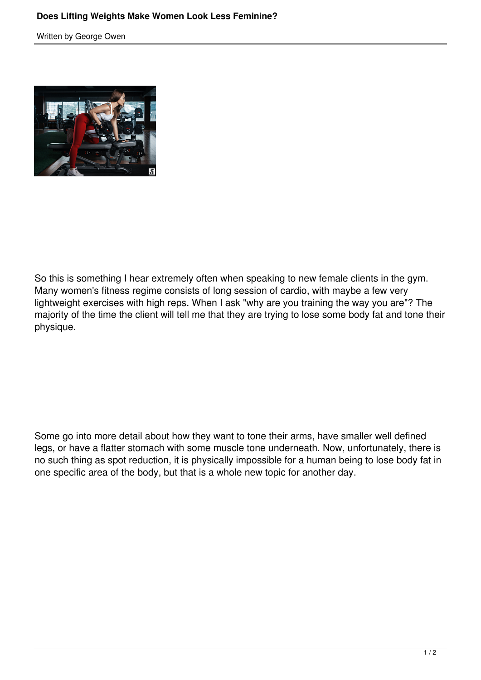Written by George Owen



So this is something I hear extremely often when speaking to new female clients in the gym. Many women's fitness regime consists of long session of cardio, with maybe a few very lightweight exercises with high reps. When I ask "why are you training the way you are"? The majority of the time the client will tell me that they are trying to lose some body fat and tone their physique.

Some go into more detail about how they want to tone their arms, have smaller well defined legs, or have a flatter stomach with some muscle tone underneath. Now, unfortunately, there is no such thing as spot reduction, it is physically impossible for a human being to lose body fat in one specific area of the body, but that is a whole new topic for another day.